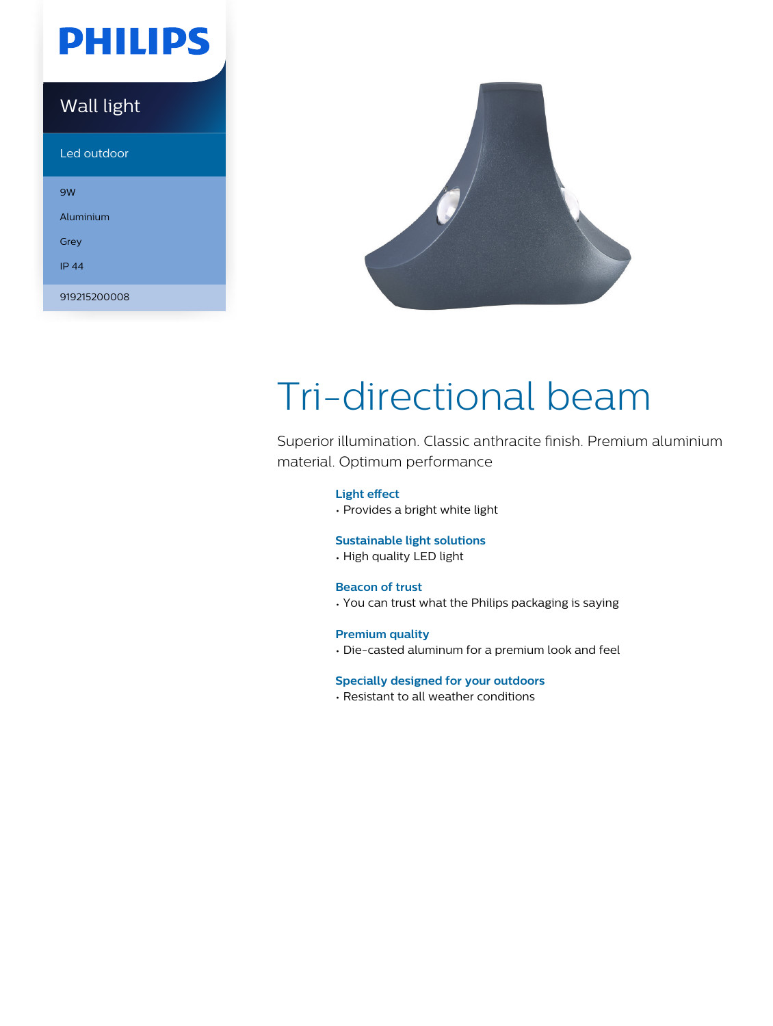# **PHILIPS**

### Wall light

Led outdoor

| 9W           |
|--------------|
| Aluminium    |
| Grey         |
| <b>IP 44</b> |
|              |
| 919215200008 |



# Tri-directional beam

Superior illumination. Classic anthracite finish. Premium aluminium material. Optimum performance

### **Light effect**

• Provides a bright white light

### **Sustainable light solutions**

• High quality LED light

### **Beacon of trust**

• You can trust what the Philips packaging is saying

### **Premium quality**

• Die-casted aluminum for a premium look and feel

### **Specially designed for your outdoors**

• Resistant to all weather conditions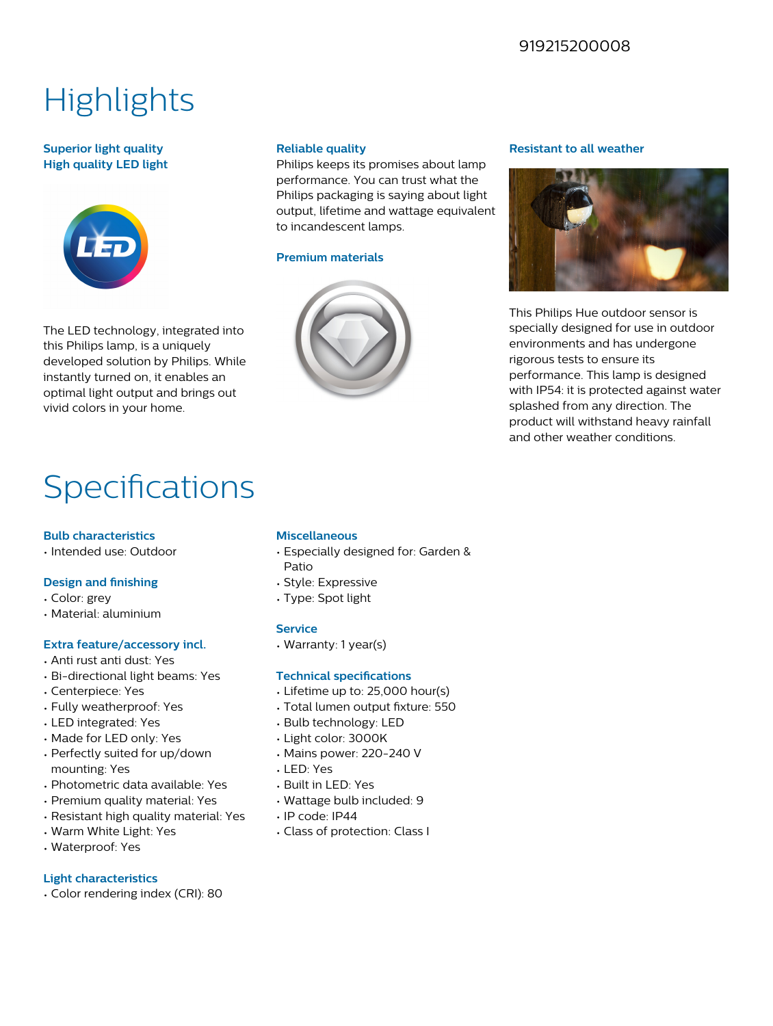### 919215200008

# **Highlights**

### **Superior light quality High quality LED light**



The LED technology, integrated into this Philips lamp, is a uniquely developed solution by Philips. While instantly turned on, it enables an optimal light output and brings out vivid colors in your home.

### **Reliable quality**

Philips keeps its promises about lamp performance. You can trust what the Philips packaging is saying about light output, lifetime and wattage equivalent to incandescent lamps.

### **Premium materials**



#### **Resistant to all weather**



This Philips Hue outdoor sensor is specially designed for use in outdoor environments and has undergone rigorous tests to ensure its performance. This lamp is designed with IP54: it is protected against water splashed from any direction. The product will withstand heavy rainfall and other weather conditions.

# Specifications

### **Bulb characteristics**

• Intended use: Outdoor

### **Design and finishing**

- Color: grey
- Material: aluminium

### **Extra feature/accessory incl.**

- Anti rust anti dust: Yes
- Bi-directional light beams: Yes
- Centerpiece: Yes
- Fully weatherproof: Yes
- LED integrated: Yes
- Made for LED only: Yes
- Perfectly suited for up/down mounting: Yes
- Photometric data available: Yes
- Premium quality material: Yes
- Resistant high quality material: Yes
- Warm White Light: Yes
- Waterproof: Yes

### **Light characteristics**

• Color rendering index (CRI): 80

### **Miscellaneous**

- Especially designed for: Garden & Patio
- 
- Type: Spot light

### **Technical specifications**

- Lifetime up to: 25,000 hour(s)
- Total lumen output fixture: 550
- Bulb technology: LED
- Light color: 3000K
- Mains power: 220-240 V
- LED: Yes
- Built in LED: Yes
- Wattage bulb included: 9
- IP code: IP44
- Class of protection: Class I

## • Style: Expressive

### **Service**

### • Warranty: 1 year(s)